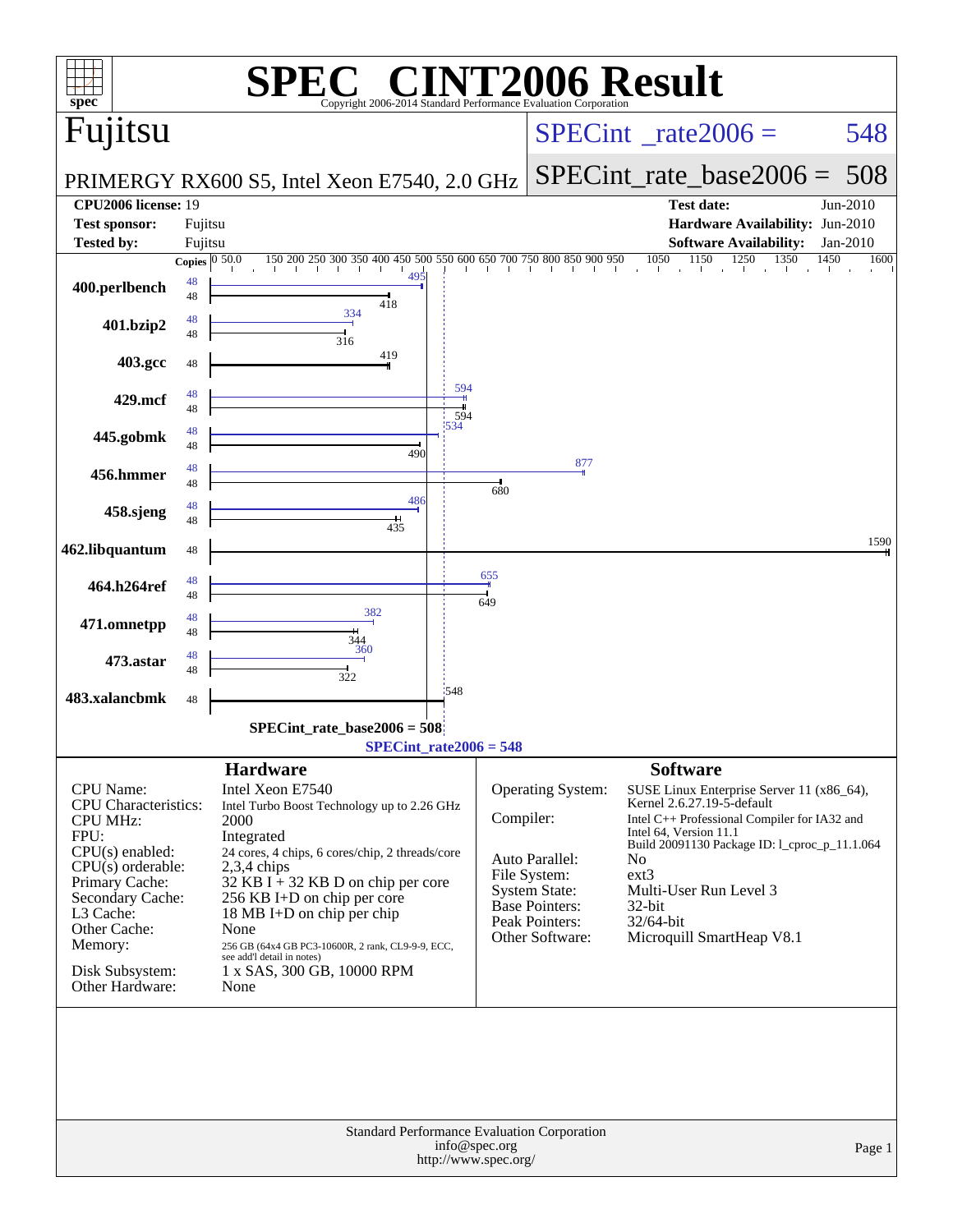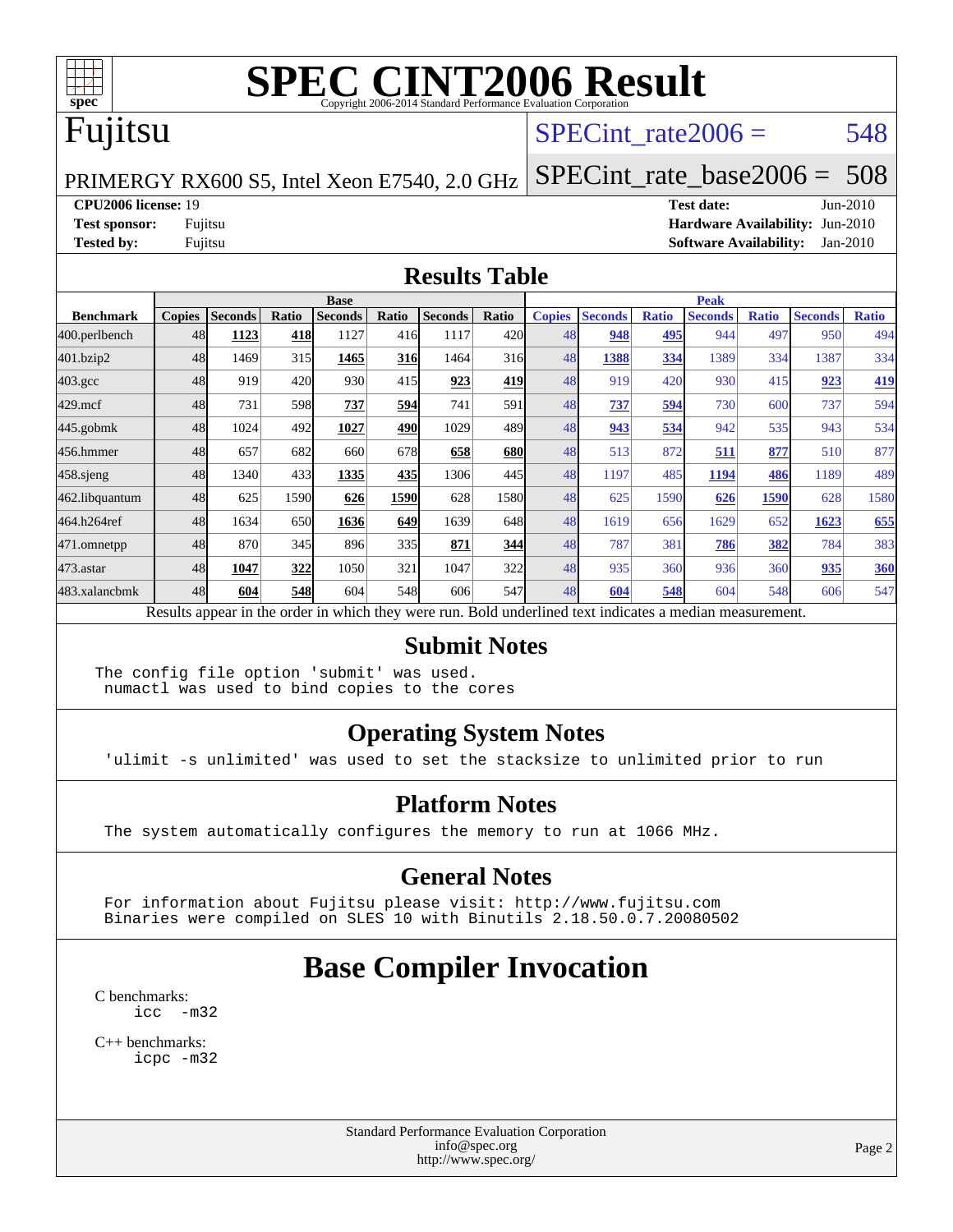

#### Fujitsu

#### SPECint rate $2006 = 548$

#### PRIMERGY RX600 S5, Intel Xeon E7540, 2.0 GHz [SPECint\\_rate\\_base2006 =](http://www.spec.org/auto/cpu2006/Docs/result-fields.html#SPECintratebase2006) 508

**[CPU2006 license:](http://www.spec.org/auto/cpu2006/Docs/result-fields.html#CPU2006license)** 19 **[Test date:](http://www.spec.org/auto/cpu2006/Docs/result-fields.html#Testdate)** Jun-2010 **[Test sponsor:](http://www.spec.org/auto/cpu2006/Docs/result-fields.html#Testsponsor)** Fujitsu **[Hardware Availability:](http://www.spec.org/auto/cpu2006/Docs/result-fields.html#HardwareAvailability)** Jun-2010 **[Tested by:](http://www.spec.org/auto/cpu2006/Docs/result-fields.html#Testedby)** Fujitsu **[Software Availability:](http://www.spec.org/auto/cpu2006/Docs/result-fields.html#SoftwareAvailability)** Jan-2010

#### **[Results Table](http://www.spec.org/auto/cpu2006/Docs/result-fields.html#ResultsTable)**

|                    | <b>Base</b>   |                |       |                |            |                                                                                                          |       | <b>Peak</b>   |                |              |                |              |                |              |
|--------------------|---------------|----------------|-------|----------------|------------|----------------------------------------------------------------------------------------------------------|-------|---------------|----------------|--------------|----------------|--------------|----------------|--------------|
| <b>Benchmark</b>   | <b>Copies</b> | <b>Seconds</b> | Ratio | <b>Seconds</b> | Ratio      | <b>Seconds</b>                                                                                           | Ratio | <b>Copies</b> | <b>Seconds</b> | <b>Ratio</b> | <b>Seconds</b> | <b>Ratio</b> | <b>Seconds</b> | <b>Ratio</b> |
| $ 400$ .perlbench  | 48            | 1123           | 418   | 1127           | 416        | 1117                                                                                                     | 420l  | 48            | 948            | 495          | 944            | 497          | 950            | 494          |
| 401.bzip2          | 48            | 1469           | 315   | 1465           | <b>316</b> | 1464                                                                                                     | 316   | 48            | 1388           | 334          | 1389           | 334          | 1387           | 334          |
| $403.\mathrm{gcc}$ | 48            | 919            | 420   | 930            | 415        | 923                                                                                                      | 419   | 48            | 919            | 420          | 930            | 415          | 923            | 419          |
| $429$ .mcf         | 48            | 731            | 598   | 737            | 594        | 741                                                                                                      | 591   | 48            | 737            | 594          | 730            | 600          | 737            | 594          |
| $445$ .gobmk       | 48            | 1024           | 492   | 1027           | 490        | 1029                                                                                                     | 489   | 48            | 943            | 534          | 942            | 535          | 943            | 534          |
| 456.hmmer          | 48            | 657            | 682   | 660            | 678        | 658                                                                                                      | 680   | 48            | 513            | 872          | 511            | 877          | 510            | 877          |
| $458$ .sjeng       | 48            | 1340           | 433   | 1335           | 435        | 1306                                                                                                     | 445   | 48            | 1197           | 485          | 1194           | 486          | 1189           | 489          |
| 462.libquantum     | 48            | 625            | 1590  | 626            | 1590       | 628                                                                                                      | 1580  | 48            | 625            | 1590         | 626            | 1590         | 628            | 1580         |
| 464.h264ref        | 48            | 1634           | 650   | 1636           | 649        | 1639                                                                                                     | 648   | 48            | 1619           | 656          | 1629           | 652          | 1623           | 655          |
| 471.omnetpp        | 48            | 870            | 345   | 896            | 335        | 871                                                                                                      | 344   | 48            | 787            | 381          | 786            | 382          | 784            | 383          |
| 473.astar          | 48            | 1047           | 322   | 1050           | 321        | 1047                                                                                                     | 322   | 48            | 935            | 360          | 936            | 360          | 935            | 360          |
| 483.xalancbmk      | 48            | 604            | 548   | 604            | 548        | 606                                                                                                      | 547   | 48            | 604            | 548          | 604            | 548          | 606            | 547          |
|                    |               |                |       |                |            | Results appear in the order in which they were run. Bold underlined text indicates a median measurement. |       |               |                |              |                |              |                |              |

#### **[Submit Notes](http://www.spec.org/auto/cpu2006/Docs/result-fields.html#SubmitNotes)**

The config file option 'submit' was used. numactl was used to bind copies to the cores

#### **[Operating System Notes](http://www.spec.org/auto/cpu2006/Docs/result-fields.html#OperatingSystemNotes)**

'ulimit -s unlimited' was used to set the stacksize to unlimited prior to run

#### **[Platform Notes](http://www.spec.org/auto/cpu2006/Docs/result-fields.html#PlatformNotes)**

The system automatically configures the memory to run at 1066 MHz.

#### **[General Notes](http://www.spec.org/auto/cpu2006/Docs/result-fields.html#GeneralNotes)**

 For information about Fujitsu please visit: <http://www.fujitsu.com> Binaries were compiled on SLES 10 with Binutils 2.18.50.0.7.20080502

### **[Base Compiler Invocation](http://www.spec.org/auto/cpu2006/Docs/result-fields.html#BaseCompilerInvocation)**

[C benchmarks](http://www.spec.org/auto/cpu2006/Docs/result-fields.html#Cbenchmarks): [icc -m32](http://www.spec.org/cpu2006/results/res2010q3/cpu2006-20100702-12069.flags.html#user_CCbase_intel_icc_32bit_5ff4a39e364c98233615fdd38438c6f2)

[C++ benchmarks:](http://www.spec.org/auto/cpu2006/Docs/result-fields.html#CXXbenchmarks) [icpc -m32](http://www.spec.org/cpu2006/results/res2010q3/cpu2006-20100702-12069.flags.html#user_CXXbase_intel_icpc_32bit_4e5a5ef1a53fd332b3c49e69c3330699)

> Standard Performance Evaluation Corporation [info@spec.org](mailto:info@spec.org) <http://www.spec.org/>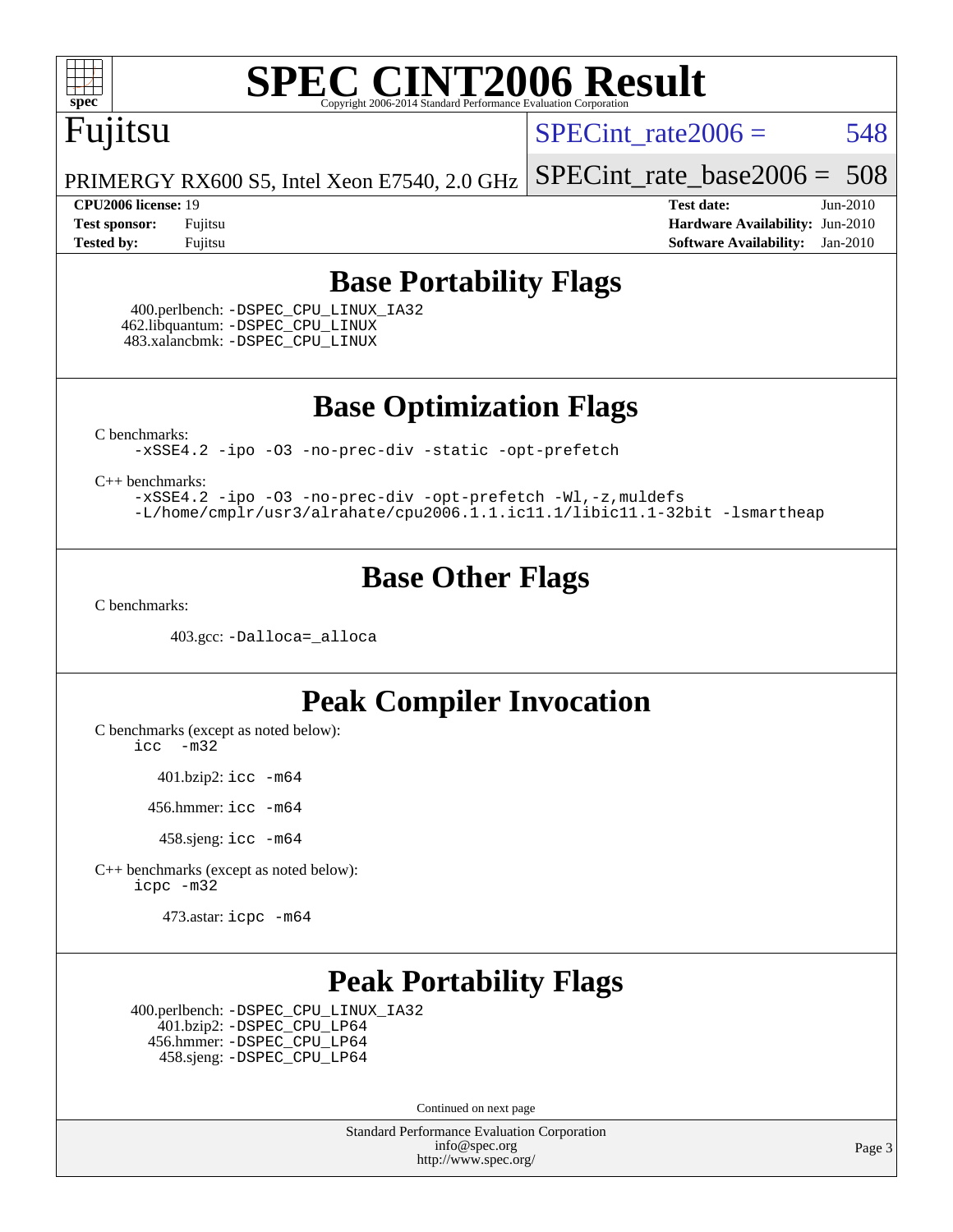### Fujitsu

SPECint rate $2006 = 548$ 

PRIMERGY RX600 S5, Intel Xeon E7540, 2.0 GHz [SPECint\\_rate\\_base2006 =](http://www.spec.org/auto/cpu2006/Docs/result-fields.html#SPECintratebase2006) 508

**[CPU2006 license:](http://www.spec.org/auto/cpu2006/Docs/result-fields.html#CPU2006license)** 19 **[Test date:](http://www.spec.org/auto/cpu2006/Docs/result-fields.html#Testdate)** Jun-2010 **[Test sponsor:](http://www.spec.org/auto/cpu2006/Docs/result-fields.html#Testsponsor)** Fujitsu **[Hardware Availability:](http://www.spec.org/auto/cpu2006/Docs/result-fields.html#HardwareAvailability)** Jun-2010 **[Tested by:](http://www.spec.org/auto/cpu2006/Docs/result-fields.html#Testedby)** Fujitsu **[Software Availability:](http://www.spec.org/auto/cpu2006/Docs/result-fields.html#SoftwareAvailability)** Jan-2010

#### **[Base Portability Flags](http://www.spec.org/auto/cpu2006/Docs/result-fields.html#BasePortabilityFlags)**

 400.perlbench: [-DSPEC\\_CPU\\_LINUX\\_IA32](http://www.spec.org/cpu2006/results/res2010q3/cpu2006-20100702-12069.flags.html#b400.perlbench_baseCPORTABILITY_DSPEC_CPU_LINUX_IA32) 462.libquantum: [-DSPEC\\_CPU\\_LINUX](http://www.spec.org/cpu2006/results/res2010q3/cpu2006-20100702-12069.flags.html#b462.libquantum_baseCPORTABILITY_DSPEC_CPU_LINUX) 483.xalancbmk: [-DSPEC\\_CPU\\_LINUX](http://www.spec.org/cpu2006/results/res2010q3/cpu2006-20100702-12069.flags.html#b483.xalancbmk_baseCXXPORTABILITY_DSPEC_CPU_LINUX)

**[Base Optimization Flags](http://www.spec.org/auto/cpu2006/Docs/result-fields.html#BaseOptimizationFlags)**

[C benchmarks](http://www.spec.org/auto/cpu2006/Docs/result-fields.html#Cbenchmarks):

[-xSSE4.2](http://www.spec.org/cpu2006/results/res2010q3/cpu2006-20100702-12069.flags.html#user_CCbase_f-xSSE42_f91528193cf0b216347adb8b939d4107) [-ipo](http://www.spec.org/cpu2006/results/res2010q3/cpu2006-20100702-12069.flags.html#user_CCbase_f-ipo) [-O3](http://www.spec.org/cpu2006/results/res2010q3/cpu2006-20100702-12069.flags.html#user_CCbase_f-O3) [-no-prec-div](http://www.spec.org/cpu2006/results/res2010q3/cpu2006-20100702-12069.flags.html#user_CCbase_f-no-prec-div) [-static](http://www.spec.org/cpu2006/results/res2010q3/cpu2006-20100702-12069.flags.html#user_CCbase_f-static) [-opt-prefetch](http://www.spec.org/cpu2006/results/res2010q3/cpu2006-20100702-12069.flags.html#user_CCbase_f-opt-prefetch)

[C++ benchmarks:](http://www.spec.org/auto/cpu2006/Docs/result-fields.html#CXXbenchmarks)

[-xSSE4.2](http://www.spec.org/cpu2006/results/res2010q3/cpu2006-20100702-12069.flags.html#user_CXXbase_f-xSSE42_f91528193cf0b216347adb8b939d4107) [-ipo](http://www.spec.org/cpu2006/results/res2010q3/cpu2006-20100702-12069.flags.html#user_CXXbase_f-ipo) [-O3](http://www.spec.org/cpu2006/results/res2010q3/cpu2006-20100702-12069.flags.html#user_CXXbase_f-O3) [-no-prec-div](http://www.spec.org/cpu2006/results/res2010q3/cpu2006-20100702-12069.flags.html#user_CXXbase_f-no-prec-div) [-opt-prefetch](http://www.spec.org/cpu2006/results/res2010q3/cpu2006-20100702-12069.flags.html#user_CXXbase_f-opt-prefetch) [-Wl,-z,muldefs](http://www.spec.org/cpu2006/results/res2010q3/cpu2006-20100702-12069.flags.html#user_CXXbase_link_force_multiple1_74079c344b956b9658436fd1b6dd3a8a) [-L/home/cmplr/usr3/alrahate/cpu2006.1.1.ic11.1/libic11.1-32bit -lsmartheap](http://www.spec.org/cpu2006/results/res2010q3/cpu2006-20100702-12069.flags.html#user_CXXbase_SmartHeap_d86dffe4a79b79ef8890d5cce17030c3)

#### **[Base Other Flags](http://www.spec.org/auto/cpu2006/Docs/result-fields.html#BaseOtherFlags)**

[C benchmarks](http://www.spec.org/auto/cpu2006/Docs/result-fields.html#Cbenchmarks):

403.gcc: [-Dalloca=\\_alloca](http://www.spec.org/cpu2006/results/res2010q3/cpu2006-20100702-12069.flags.html#b403.gcc_baseEXTRA_CFLAGS_Dalloca_be3056838c12de2578596ca5467af7f3)

#### **[Peak Compiler Invocation](http://www.spec.org/auto/cpu2006/Docs/result-fields.html#PeakCompilerInvocation)**

[C benchmarks \(except as noted below\)](http://www.spec.org/auto/cpu2006/Docs/result-fields.html#Cbenchmarksexceptasnotedbelow):

[icc -m32](http://www.spec.org/cpu2006/results/res2010q3/cpu2006-20100702-12069.flags.html#user_CCpeak_intel_icc_32bit_5ff4a39e364c98233615fdd38438c6f2)

401.bzip2: [icc -m64](http://www.spec.org/cpu2006/results/res2010q3/cpu2006-20100702-12069.flags.html#user_peakCCLD401_bzip2_intel_icc_64bit_bda6cc9af1fdbb0edc3795bac97ada53)

456.hmmer: [icc -m64](http://www.spec.org/cpu2006/results/res2010q3/cpu2006-20100702-12069.flags.html#user_peakCCLD456_hmmer_intel_icc_64bit_bda6cc9af1fdbb0edc3795bac97ada53)

458.sjeng: [icc -m64](http://www.spec.org/cpu2006/results/res2010q3/cpu2006-20100702-12069.flags.html#user_peakCCLD458_sjeng_intel_icc_64bit_bda6cc9af1fdbb0edc3795bac97ada53)

[C++ benchmarks \(except as noted below\):](http://www.spec.org/auto/cpu2006/Docs/result-fields.html#CXXbenchmarksexceptasnotedbelow) [icpc -m32](http://www.spec.org/cpu2006/results/res2010q3/cpu2006-20100702-12069.flags.html#user_CXXpeak_intel_icpc_32bit_4e5a5ef1a53fd332b3c49e69c3330699)

473.astar: [icpc -m64](http://www.spec.org/cpu2006/results/res2010q3/cpu2006-20100702-12069.flags.html#user_peakCXXLD473_astar_intel_icpc_64bit_fc66a5337ce925472a5c54ad6a0de310)

#### **[Peak Portability Flags](http://www.spec.org/auto/cpu2006/Docs/result-fields.html#PeakPortabilityFlags)**

 400.perlbench: [-DSPEC\\_CPU\\_LINUX\\_IA32](http://www.spec.org/cpu2006/results/res2010q3/cpu2006-20100702-12069.flags.html#b400.perlbench_peakCPORTABILITY_DSPEC_CPU_LINUX_IA32) 401.bzip2: [-DSPEC\\_CPU\\_LP64](http://www.spec.org/cpu2006/results/res2010q3/cpu2006-20100702-12069.flags.html#suite_peakCPORTABILITY401_bzip2_DSPEC_CPU_LP64) 456.hmmer: [-DSPEC\\_CPU\\_LP64](http://www.spec.org/cpu2006/results/res2010q3/cpu2006-20100702-12069.flags.html#suite_peakCPORTABILITY456_hmmer_DSPEC_CPU_LP64) 458.sjeng: [-DSPEC\\_CPU\\_LP64](http://www.spec.org/cpu2006/results/res2010q3/cpu2006-20100702-12069.flags.html#suite_peakCPORTABILITY458_sjeng_DSPEC_CPU_LP64)

Continued on next page

Standard Performance Evaluation Corporation [info@spec.org](mailto:info@spec.org) <http://www.spec.org/>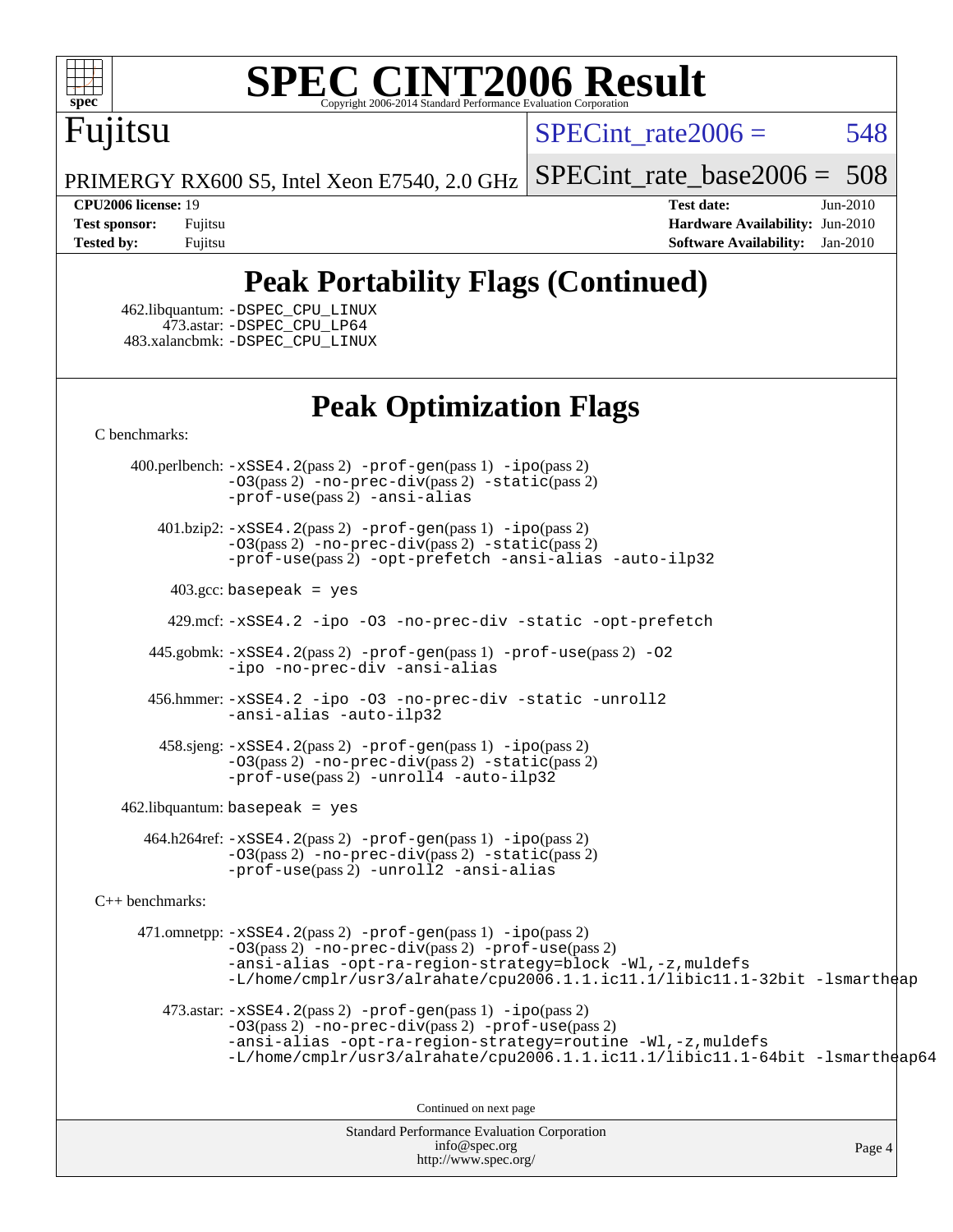

## Fujitsu

 $SPECint rate2006 = 548$ 

PRIMERGY RX600 S5, Intel Xeon E7540, 2.0 GHz

[SPECint\\_rate\\_base2006 =](http://www.spec.org/auto/cpu2006/Docs/result-fields.html#SPECintratebase2006) 508

**[CPU2006 license:](http://www.spec.org/auto/cpu2006/Docs/result-fields.html#CPU2006license)** 19 **[Test date:](http://www.spec.org/auto/cpu2006/Docs/result-fields.html#Testdate)** Jun-2010 **[Test sponsor:](http://www.spec.org/auto/cpu2006/Docs/result-fields.html#Testsponsor)** Fujitsu **[Hardware Availability:](http://www.spec.org/auto/cpu2006/Docs/result-fields.html#HardwareAvailability)** Jun-2010 **[Tested by:](http://www.spec.org/auto/cpu2006/Docs/result-fields.html#Testedby)** Fujitsu **[Software Availability:](http://www.spec.org/auto/cpu2006/Docs/result-fields.html#SoftwareAvailability)** Jan-2010

#### **[Peak Portability Flags \(Continued\)](http://www.spec.org/auto/cpu2006/Docs/result-fields.html#PeakPortabilityFlags)**

 462.libquantum: [-DSPEC\\_CPU\\_LINUX](http://www.spec.org/cpu2006/results/res2010q3/cpu2006-20100702-12069.flags.html#b462.libquantum_peakCPORTABILITY_DSPEC_CPU_LINUX) 473.astar: [-DSPEC\\_CPU\\_LP64](http://www.spec.org/cpu2006/results/res2010q3/cpu2006-20100702-12069.flags.html#suite_peakCXXPORTABILITY473_astar_DSPEC_CPU_LP64) 483.xalancbmk: [-DSPEC\\_CPU\\_LINUX](http://www.spec.org/cpu2006/results/res2010q3/cpu2006-20100702-12069.flags.html#b483.xalancbmk_peakCXXPORTABILITY_DSPEC_CPU_LINUX)

#### **[Peak Optimization Flags](http://www.spec.org/auto/cpu2006/Docs/result-fields.html#PeakOptimizationFlags)**

[C benchmarks](http://www.spec.org/auto/cpu2006/Docs/result-fields.html#Cbenchmarks):

 400.perlbench: [-xSSE4.2](http://www.spec.org/cpu2006/results/res2010q3/cpu2006-20100702-12069.flags.html#user_peakPASS2_CFLAGSPASS2_LDCFLAGS400_perlbench_f-xSSE42_f91528193cf0b216347adb8b939d4107)(pass 2) [-prof-gen](http://www.spec.org/cpu2006/results/res2010q3/cpu2006-20100702-12069.flags.html#user_peakPASS1_CFLAGSPASS1_LDCFLAGS400_perlbench_prof_gen_e43856698f6ca7b7e442dfd80e94a8fc)(pass 1) [-ipo](http://www.spec.org/cpu2006/results/res2010q3/cpu2006-20100702-12069.flags.html#user_peakPASS2_CFLAGSPASS2_LDCFLAGS400_perlbench_f-ipo)(pass 2) [-O3](http://www.spec.org/cpu2006/results/res2010q3/cpu2006-20100702-12069.flags.html#user_peakPASS2_CFLAGSPASS2_LDCFLAGS400_perlbench_f-O3)(pass 2) [-no-prec-div](http://www.spec.org/cpu2006/results/res2010q3/cpu2006-20100702-12069.flags.html#user_peakPASS2_CFLAGSPASS2_LDCFLAGS400_perlbench_f-no-prec-div)(pass 2) [-static](http://www.spec.org/cpu2006/results/res2010q3/cpu2006-20100702-12069.flags.html#user_peakPASS2_CFLAGSPASS2_LDCFLAGS400_perlbench_f-static)(pass 2) [-prof-use](http://www.spec.org/cpu2006/results/res2010q3/cpu2006-20100702-12069.flags.html#user_peakPASS2_CFLAGSPASS2_LDCFLAGS400_perlbench_prof_use_bccf7792157ff70d64e32fe3e1250b55)(pass 2) [-ansi-alias](http://www.spec.org/cpu2006/results/res2010q3/cpu2006-20100702-12069.flags.html#user_peakCOPTIMIZE400_perlbench_f-ansi-alias)

 401.bzip2: [-xSSE4.2](http://www.spec.org/cpu2006/results/res2010q3/cpu2006-20100702-12069.flags.html#user_peakPASS2_CFLAGSPASS2_LDCFLAGS401_bzip2_f-xSSE42_f91528193cf0b216347adb8b939d4107)(pass 2) [-prof-gen](http://www.spec.org/cpu2006/results/res2010q3/cpu2006-20100702-12069.flags.html#user_peakPASS1_CFLAGSPASS1_LDCFLAGS401_bzip2_prof_gen_e43856698f6ca7b7e442dfd80e94a8fc)(pass 1) [-ipo](http://www.spec.org/cpu2006/results/res2010q3/cpu2006-20100702-12069.flags.html#user_peakPASS2_CFLAGSPASS2_LDCFLAGS401_bzip2_f-ipo)(pass 2) [-O3](http://www.spec.org/cpu2006/results/res2010q3/cpu2006-20100702-12069.flags.html#user_peakPASS2_CFLAGSPASS2_LDCFLAGS401_bzip2_f-O3)(pass 2) [-no-prec-div](http://www.spec.org/cpu2006/results/res2010q3/cpu2006-20100702-12069.flags.html#user_peakPASS2_CFLAGSPASS2_LDCFLAGS401_bzip2_f-no-prec-div)(pass 2) [-static](http://www.spec.org/cpu2006/results/res2010q3/cpu2006-20100702-12069.flags.html#user_peakPASS2_CFLAGSPASS2_LDCFLAGS401_bzip2_f-static)(pass 2) [-prof-use](http://www.spec.org/cpu2006/results/res2010q3/cpu2006-20100702-12069.flags.html#user_peakPASS2_CFLAGSPASS2_LDCFLAGS401_bzip2_prof_use_bccf7792157ff70d64e32fe3e1250b55)(pass 2) [-opt-prefetch](http://www.spec.org/cpu2006/results/res2010q3/cpu2006-20100702-12069.flags.html#user_peakCOPTIMIZE401_bzip2_f-opt-prefetch) [-ansi-alias](http://www.spec.org/cpu2006/results/res2010q3/cpu2006-20100702-12069.flags.html#user_peakCOPTIMIZE401_bzip2_f-ansi-alias) [-auto-ilp32](http://www.spec.org/cpu2006/results/res2010q3/cpu2006-20100702-12069.flags.html#user_peakCOPTIMIZE401_bzip2_f-auto-ilp32)

 $403.\text{gcc: basepeak}$  = yes

429.mcf: [-xSSE4.2](http://www.spec.org/cpu2006/results/res2010q3/cpu2006-20100702-12069.flags.html#user_peakCOPTIMIZE429_mcf_f-xSSE42_f91528193cf0b216347adb8b939d4107) [-ipo](http://www.spec.org/cpu2006/results/res2010q3/cpu2006-20100702-12069.flags.html#user_peakCOPTIMIZE429_mcf_f-ipo) [-O3](http://www.spec.org/cpu2006/results/res2010q3/cpu2006-20100702-12069.flags.html#user_peakCOPTIMIZE429_mcf_f-O3) [-no-prec-div](http://www.spec.org/cpu2006/results/res2010q3/cpu2006-20100702-12069.flags.html#user_peakCOPTIMIZE429_mcf_f-no-prec-div) [-static](http://www.spec.org/cpu2006/results/res2010q3/cpu2006-20100702-12069.flags.html#user_peakCOPTIMIZE429_mcf_f-static) [-opt-prefetch](http://www.spec.org/cpu2006/results/res2010q3/cpu2006-20100702-12069.flags.html#user_peakCOPTIMIZE429_mcf_f-opt-prefetch)

 445.gobmk: [-xSSE4.2](http://www.spec.org/cpu2006/results/res2010q3/cpu2006-20100702-12069.flags.html#user_peakPASS2_CFLAGSPASS2_LDCFLAGS445_gobmk_f-xSSE42_f91528193cf0b216347adb8b939d4107)(pass 2) [-prof-gen](http://www.spec.org/cpu2006/results/res2010q3/cpu2006-20100702-12069.flags.html#user_peakPASS1_CFLAGSPASS1_LDCFLAGS445_gobmk_prof_gen_e43856698f6ca7b7e442dfd80e94a8fc)(pass 1) [-prof-use](http://www.spec.org/cpu2006/results/res2010q3/cpu2006-20100702-12069.flags.html#user_peakPASS2_CFLAGSPASS2_LDCFLAGS445_gobmk_prof_use_bccf7792157ff70d64e32fe3e1250b55)(pass 2) [-O2](http://www.spec.org/cpu2006/results/res2010q3/cpu2006-20100702-12069.flags.html#user_peakCOPTIMIZE445_gobmk_f-O2) [-ipo](http://www.spec.org/cpu2006/results/res2010q3/cpu2006-20100702-12069.flags.html#user_peakCOPTIMIZE445_gobmk_f-ipo) [-no-prec-div](http://www.spec.org/cpu2006/results/res2010q3/cpu2006-20100702-12069.flags.html#user_peakCOPTIMIZE445_gobmk_f-no-prec-div) [-ansi-alias](http://www.spec.org/cpu2006/results/res2010q3/cpu2006-20100702-12069.flags.html#user_peakCOPTIMIZE445_gobmk_f-ansi-alias)

 456.hmmer: [-xSSE4.2](http://www.spec.org/cpu2006/results/res2010q3/cpu2006-20100702-12069.flags.html#user_peakCOPTIMIZE456_hmmer_f-xSSE42_f91528193cf0b216347adb8b939d4107) [-ipo](http://www.spec.org/cpu2006/results/res2010q3/cpu2006-20100702-12069.flags.html#user_peakCOPTIMIZE456_hmmer_f-ipo) [-O3](http://www.spec.org/cpu2006/results/res2010q3/cpu2006-20100702-12069.flags.html#user_peakCOPTIMIZE456_hmmer_f-O3) [-no-prec-div](http://www.spec.org/cpu2006/results/res2010q3/cpu2006-20100702-12069.flags.html#user_peakCOPTIMIZE456_hmmer_f-no-prec-div) [-static](http://www.spec.org/cpu2006/results/res2010q3/cpu2006-20100702-12069.flags.html#user_peakCOPTIMIZE456_hmmer_f-static) [-unroll2](http://www.spec.org/cpu2006/results/res2010q3/cpu2006-20100702-12069.flags.html#user_peakCOPTIMIZE456_hmmer_f-unroll_784dae83bebfb236979b41d2422d7ec2) [-ansi-alias](http://www.spec.org/cpu2006/results/res2010q3/cpu2006-20100702-12069.flags.html#user_peakCOPTIMIZE456_hmmer_f-ansi-alias) [-auto-ilp32](http://www.spec.org/cpu2006/results/res2010q3/cpu2006-20100702-12069.flags.html#user_peakCOPTIMIZE456_hmmer_f-auto-ilp32)

 458.sjeng: [-xSSE4.2](http://www.spec.org/cpu2006/results/res2010q3/cpu2006-20100702-12069.flags.html#user_peakPASS2_CFLAGSPASS2_LDCFLAGS458_sjeng_f-xSSE42_f91528193cf0b216347adb8b939d4107)(pass 2) [-prof-gen](http://www.spec.org/cpu2006/results/res2010q3/cpu2006-20100702-12069.flags.html#user_peakPASS1_CFLAGSPASS1_LDCFLAGS458_sjeng_prof_gen_e43856698f6ca7b7e442dfd80e94a8fc)(pass 1) [-ipo](http://www.spec.org/cpu2006/results/res2010q3/cpu2006-20100702-12069.flags.html#user_peakPASS2_CFLAGSPASS2_LDCFLAGS458_sjeng_f-ipo)(pass 2) [-O3](http://www.spec.org/cpu2006/results/res2010q3/cpu2006-20100702-12069.flags.html#user_peakPASS2_CFLAGSPASS2_LDCFLAGS458_sjeng_f-O3)(pass 2) [-no-prec-div](http://www.spec.org/cpu2006/results/res2010q3/cpu2006-20100702-12069.flags.html#user_peakPASS2_CFLAGSPASS2_LDCFLAGS458_sjeng_f-no-prec-div)(pass 2) [-static](http://www.spec.org/cpu2006/results/res2010q3/cpu2006-20100702-12069.flags.html#user_peakPASS2_CFLAGSPASS2_LDCFLAGS458_sjeng_f-static)(pass 2)  $-prof-use(pass 2) -unroll4 -auto-ilp32$  $-prof-use(pass 2) -unroll4 -auto-ilp32$  $-prof-use(pass 2) -unroll4 -auto-ilp32$  $-prof-use(pass 2) -unroll4 -auto-ilp32$  $-prof-use(pass 2) -unroll4 -auto-ilp32$ 

462.libquantum: basepeak = yes

 464.h264ref: [-xSSE4.2](http://www.spec.org/cpu2006/results/res2010q3/cpu2006-20100702-12069.flags.html#user_peakPASS2_CFLAGSPASS2_LDCFLAGS464_h264ref_f-xSSE42_f91528193cf0b216347adb8b939d4107)(pass 2) [-prof-gen](http://www.spec.org/cpu2006/results/res2010q3/cpu2006-20100702-12069.flags.html#user_peakPASS1_CFLAGSPASS1_LDCFLAGS464_h264ref_prof_gen_e43856698f6ca7b7e442dfd80e94a8fc)(pass 1) [-ipo](http://www.spec.org/cpu2006/results/res2010q3/cpu2006-20100702-12069.flags.html#user_peakPASS2_CFLAGSPASS2_LDCFLAGS464_h264ref_f-ipo)(pass 2) [-O3](http://www.spec.org/cpu2006/results/res2010q3/cpu2006-20100702-12069.flags.html#user_peakPASS2_CFLAGSPASS2_LDCFLAGS464_h264ref_f-O3)(pass 2) [-no-prec-div](http://www.spec.org/cpu2006/results/res2010q3/cpu2006-20100702-12069.flags.html#user_peakPASS2_CFLAGSPASS2_LDCFLAGS464_h264ref_f-no-prec-div)(pass 2) [-static](http://www.spec.org/cpu2006/results/res2010q3/cpu2006-20100702-12069.flags.html#user_peakPASS2_CFLAGSPASS2_LDCFLAGS464_h264ref_f-static)(pass 2) [-prof-use](http://www.spec.org/cpu2006/results/res2010q3/cpu2006-20100702-12069.flags.html#user_peakPASS2_CFLAGSPASS2_LDCFLAGS464_h264ref_prof_use_bccf7792157ff70d64e32fe3e1250b55)(pass 2) [-unroll2](http://www.spec.org/cpu2006/results/res2010q3/cpu2006-20100702-12069.flags.html#user_peakCOPTIMIZE464_h264ref_f-unroll_784dae83bebfb236979b41d2422d7ec2) [-ansi-alias](http://www.spec.org/cpu2006/results/res2010q3/cpu2006-20100702-12069.flags.html#user_peakCOPTIMIZE464_h264ref_f-ansi-alias)

[C++ benchmarks:](http://www.spec.org/auto/cpu2006/Docs/result-fields.html#CXXbenchmarks)

 471.omnetpp: [-xSSE4.2](http://www.spec.org/cpu2006/results/res2010q3/cpu2006-20100702-12069.flags.html#user_peakPASS2_CXXFLAGSPASS2_LDCXXFLAGS471_omnetpp_f-xSSE42_f91528193cf0b216347adb8b939d4107)(pass 2) [-prof-gen](http://www.spec.org/cpu2006/results/res2010q3/cpu2006-20100702-12069.flags.html#user_peakPASS1_CXXFLAGSPASS1_LDCXXFLAGS471_omnetpp_prof_gen_e43856698f6ca7b7e442dfd80e94a8fc)(pass 1) [-ipo](http://www.spec.org/cpu2006/results/res2010q3/cpu2006-20100702-12069.flags.html#user_peakPASS2_CXXFLAGSPASS2_LDCXXFLAGS471_omnetpp_f-ipo)(pass 2) [-O3](http://www.spec.org/cpu2006/results/res2010q3/cpu2006-20100702-12069.flags.html#user_peakPASS2_CXXFLAGSPASS2_LDCXXFLAGS471_omnetpp_f-O3)(pass 2) [-no-prec-div](http://www.spec.org/cpu2006/results/res2010q3/cpu2006-20100702-12069.flags.html#user_peakPASS2_CXXFLAGSPASS2_LDCXXFLAGS471_omnetpp_f-no-prec-div)(pass 2) [-prof-use](http://www.spec.org/cpu2006/results/res2010q3/cpu2006-20100702-12069.flags.html#user_peakPASS2_CXXFLAGSPASS2_LDCXXFLAGS471_omnetpp_prof_use_bccf7792157ff70d64e32fe3e1250b55)(pass 2) [-ansi-alias](http://www.spec.org/cpu2006/results/res2010q3/cpu2006-20100702-12069.flags.html#user_peakCXXOPTIMIZE471_omnetpp_f-ansi-alias) [-opt-ra-region-strategy=block](http://www.spec.org/cpu2006/results/res2010q3/cpu2006-20100702-12069.flags.html#user_peakCXXOPTIMIZE471_omnetpp_f-opt-ra-region-strategy-block_a0a37c372d03933b2a18d4af463c1f69) [-Wl,-z,muldefs](http://www.spec.org/cpu2006/results/res2010q3/cpu2006-20100702-12069.flags.html#user_peakEXTRA_LDFLAGS471_omnetpp_link_force_multiple1_74079c344b956b9658436fd1b6dd3a8a) [-L/home/cmplr/usr3/alrahate/cpu2006.1.1.ic11.1/libic11.1-32bit -lsmartheap](http://www.spec.org/cpu2006/results/res2010q3/cpu2006-20100702-12069.flags.html#user_peakEXTRA_LIBS471_omnetpp_SmartHeap_d86dffe4a79b79ef8890d5cce17030c3)

473.astar:  $-xSSE4$ . 2(pass 2)  $-prof-gen(pass 1) -ipo(pass 2)$  $-prof-gen(pass 1) -ipo(pass 2)$  $-prof-gen(pass 1) -ipo(pass 2)$  $-prof-gen(pass 1) -ipo(pass 2)$ [-O3](http://www.spec.org/cpu2006/results/res2010q3/cpu2006-20100702-12069.flags.html#user_peakPASS2_CXXFLAGSPASS2_LDCXXFLAGS473_astar_f-O3)(pass 2) [-no-prec-div](http://www.spec.org/cpu2006/results/res2010q3/cpu2006-20100702-12069.flags.html#user_peakPASS2_CXXFLAGSPASS2_LDCXXFLAGS473_astar_f-no-prec-div)(pass 2) [-prof-use](http://www.spec.org/cpu2006/results/res2010q3/cpu2006-20100702-12069.flags.html#user_peakPASS2_CXXFLAGSPASS2_LDCXXFLAGS473_astar_prof_use_bccf7792157ff70d64e32fe3e1250b55)(pass 2) [-ansi-alias](http://www.spec.org/cpu2006/results/res2010q3/cpu2006-20100702-12069.flags.html#user_peakCXXOPTIMIZE473_astar_f-ansi-alias) [-opt-ra-region-strategy=routine](http://www.spec.org/cpu2006/results/res2010q3/cpu2006-20100702-12069.flags.html#user_peakCXXOPTIMIZE473_astar_f-opt-ra-region-strategy-routine_ba086ea3b1d46a52e1238e2ca173ed44) [-Wl,-z,muldefs](http://www.spec.org/cpu2006/results/res2010q3/cpu2006-20100702-12069.flags.html#user_peakEXTRA_LDFLAGS473_astar_link_force_multiple1_74079c344b956b9658436fd1b6dd3a8a) [-L/home/cmplr/usr3/alrahate/cpu2006.1.1.ic11.1/libic11.1-64bit -lsmartheap64](http://www.spec.org/cpu2006/results/res2010q3/cpu2006-20100702-12069.flags.html#user_peakEXTRA_LIBS473_astar_SmartHeap64_e2306cda84805d1ab360117a79ff779c)

Continued on next page

Standard Performance Evaluation Corporation [info@spec.org](mailto:info@spec.org) <http://www.spec.org/>

Page 4